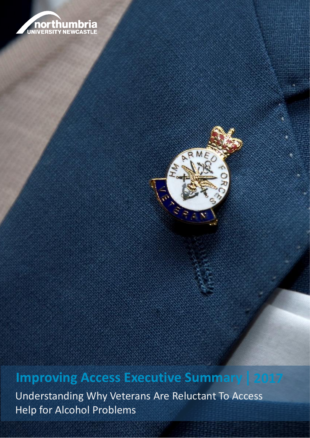



## **Improving Access Executive Summary | 2017**

**Annual Population Survey: UK Armed For Armed For Armed For Armed For Defence Statistics (Health). Britain 2015** Understanding Why Veterans Are Reluctant To Access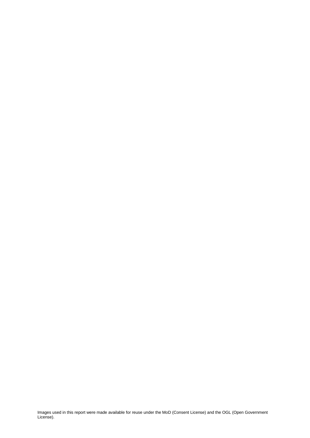Images used in this report were made available for reuse under the MoD (Consent License) and the OGL (Open Government License).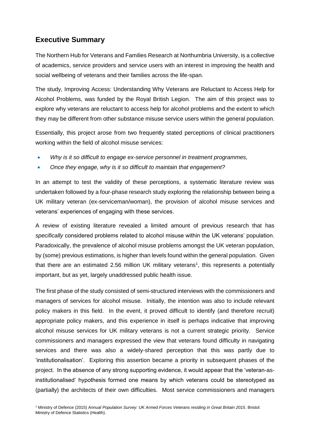## **Executive Summary**

The Northern Hub for Veterans and Families Research at Northumbria University, is a collective of academics, service providers and service users with an interest in improving the health and social wellbeing of veterans and their families across the life-span.

The study, Improving Access: Understanding Why Veterans are Reluctant to Access Help for Alcohol Problems, was funded by the Royal British Legion. The aim of this project was to explore why veterans are reluctant to access help for alcohol problems and the extent to which they may be different from other substance misuse service users within the general population.

Essentially, this project arose from two frequently stated perceptions of clinical practitioners working within the field of alcohol misuse services:

- *Why is it so difficult to engage ex-service personnel in treatment programmes,*
- *Once they engage, why is it so difficult to maintain that engagement?*

In an attempt to test the validity of these perceptions, a systematic literature review was undertaken followed by a four-phase research study exploring the relationship between being a UK military veteran (ex-serviceman/woman), the provision of alcohol misuse services and veterans' experiences of engaging with these services.

A review of existing literature revealed a limited amount of previous research that has *specifically* considered problems related to alcohol misuse within the UK veterans' population. Paradoxically, the prevalence of alcohol misuse problems amongst the UK veteran population, by (some) previous estimations, is higher than levels found within the general population. Given that there are an estimated 2.56 million UK military veterans<sup>1</sup>, this represents a potentially important, but as yet, largely unaddressed public health issue.

The first phase of the study consisted of semi-structured interviews with the commissioners and managers of services for alcohol misuse. Initially, the intention was also to include relevant policy makers in this field. In the event, it proved difficult to identify (and therefore recruit) appropriate policy makers, and this experience in itself is perhaps indicative that improving alcohol misuse services for UK military veterans is not a current strategic priority. Service commissioners and managers expressed the view that veterans found difficulty in navigating services and there was also a widely-shared perception that this was partly due to 'institutionalisation'. Exploring this assertion became a priority in subsequent phases of the project. In the absence of any strong supporting evidence, it would appear that the 'veteran-asinstitutionalised' hypothesis formed one means by which veterans could be stereotyped as (partially) the architects of their own difficulties. Most service commissioners and managers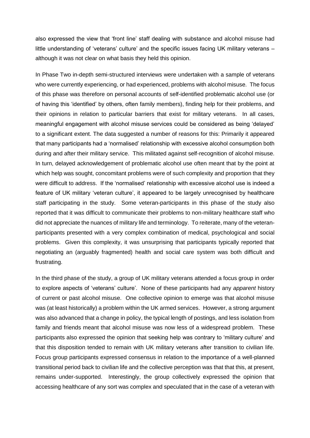also expressed the view that 'front line' staff dealing with substance and alcohol misuse had little understanding of 'veterans' culture' and the specific issues facing UK military veterans – although it was not clear on what basis they held this opinion.

In Phase Two in-depth semi-structured interviews were undertaken with a sample of veterans who were currently experiencing, or had experienced, problems with alcohol misuse. The focus of this phase was therefore on personal accounts of self-identified problematic alcohol use (or of having this 'identified' by others, often family members), finding help for their problems, and their opinions in relation to particular barriers that exist for military veterans. In all cases, meaningful engagement with alcohol misuse services could be considered as being 'delayed' to a significant extent. The data suggested a number of reasons for this: Primarily it appeared that many participants had a 'normalised' relationship with excessive alcohol consumption both during and after their military service. This militated against self-recognition of alcohol misuse. In turn, delayed acknowledgement of problematic alcohol use often meant that by the point at which help was sought, concomitant problems were of such complexity and proportion that they were difficult to address. If the 'normalised' relationship with excessive alcohol use is indeed a feature of UK military 'veteran culture', it appeared to be largely unrecognised by healthcare staff participating in the study. Some veteran-participants in this phase of the study also reported that it was difficult to communicate their problems to non-military healthcare staff who did not appreciate the nuances of military life and terminology. To reiterate, many of the veteranparticipants presented with a very complex combination of medical, psychological and social problems. Given this complexity, it was unsurprising that participants typically reported that negotiating an (arguably fragmented) health and social care system was both difficult and frustrating.

In the third phase of the study, a group of UK military veterans attended a focus group in order to explore aspects of 'veterans' culture'. None of these participants had any *apparent* history of current or past alcohol misuse. One collective opinion to emerge was that alcohol misuse was (at least historically) a problem within the UK armed services. However, a strong argument was also advanced that a change in policy, the typical length of postings, and less isolation from family and friends meant that alcohol misuse was now less of a widespread problem. These participants also expressed the opinion that seeking help was contrary to 'military culture' and that this disposition tended to remain with UK military veterans after transition to civilian life. Focus group participants expressed consensus in relation to the importance of a well-planned transitional period back to civilian life and the collective perception was that that this, at present, remains under-supported. Interestingly, the group collectively expressed the opinion that accessing healthcare of any sort was complex and speculated that in the case of a veteran with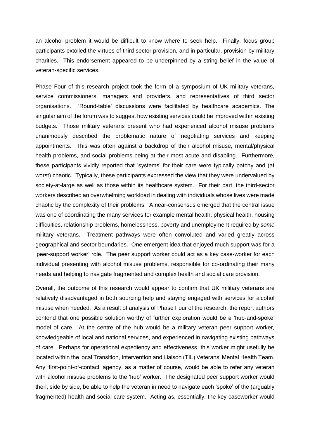an alcohol problem it would be difficult to know where to seek help. Finally, focus group participants extolled the virtues of third sector provision, and in particular, provision by military charities. This endorsement appeared to be underpinned by a string belief in the value of veteran-specific services.

Phase Four of this research project took the form of a symposium of UK military veterans, service commissioners, managers and providers, and representatives of third sector organisations. 'Round-table' discussions were facilitated by healthcare academics. The singular aim of the forum was to suggest how existing services could be improved within existing budgets. Those military veterans present who had experienced alcohol misuse problems unanimously described the problematic nature of negotiating services and keeping appointments. This was often against a backdrop of their alcohol misuse, mental/physical health problems, and social problems being at their most acute and disabling. Furthermore, these participants vividly reported that 'systems' for their care were typically patchy and (at worst) chaotic. Typically, these participants expressed the view that they were undervalued by society-at-large as well as those within its healthcare system. For their part, the third-sector workers described an overwhelming workload in dealing with individuals whose lives were made chaotic by the complexity of their problems. A near-consensus emerged that the central issue was one of coordinating the many services for example mental health, physical health, housing difficulties, relationship problems, homelessness, poverty and unemployment required by *some*  military veterans. Treatment pathways were often convoluted and varied greatly across geographical and sector boundaries. One emergent idea that enjoyed much support was for a 'peer-support worker' role. The peer support worker could act as a key case-worker for each individual presenting with alcohol misuse problems, responsible for co-ordinating their many needs and helping to navigate fragmented and complex health and social care provision.

Overall, the outcome of this research would appear to confirm that UK military veterans are relatively disadvantaged in both sourcing help and staying engaged with services for alcohol misuse when needed. As a result of analysis of Phase Four of the research, the report authors contend that one possible solution worthy of further exploration would be a 'hub-and-spoke' model of care. At the centre of the hub would be a military veteran peer support worker, knowledgeable of local and national services, and experienced in navigating existing pathways of care. Perhaps for operational expediency and effectiveness, this worker might usefully be located within the local Transition, Intervention and Liaison (TIL) Veterans' Mental Health Team. Any 'first-point-of-contact' agency, as a matter of course, would be able to refer any veteran with alcohol misuse problems to the 'hub' worker. The designated peer support worker would then, side by side, be able to help the veteran in need to navigate each 'spoke' of the (arguably fragmented) health and social care system. Acting as, essentially, the key caseworker would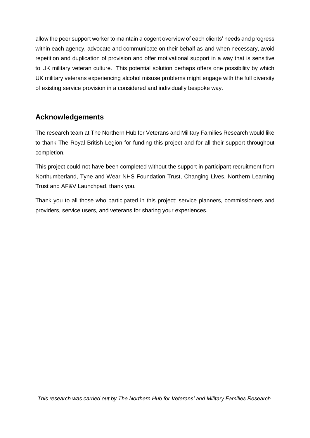allow the peer support worker to maintain a cogent overview of each clients' needs and progress within each agency, advocate and communicate on their behalf as-and-when necessary, avoid repetition and duplication of provision and offer motivational support in a way that is sensitive to UK military veteran culture. This potential solution perhaps offers one possibility by which UK military veterans experiencing alcohol misuse problems might engage with the full diversity of existing service provision in a considered and individually bespoke way.

## **Acknowledgements**

The research team at The Northern Hub for Veterans and Military Families Research would like to thank The Royal British Legion for funding this project and for all their support throughout completion.

This project could not have been completed without the support in participant recruitment from Northumberland, Tyne and Wear NHS Foundation Trust, Changing Lives, Northern Learning Trust and AF&V Launchpad, thank you.

Thank you to all those who participated in this project: service planners, commissioners and providers, service users, and veterans for sharing your experiences.

*This research was carried out by The Northern Hub for Veterans' and Military Families Research.*